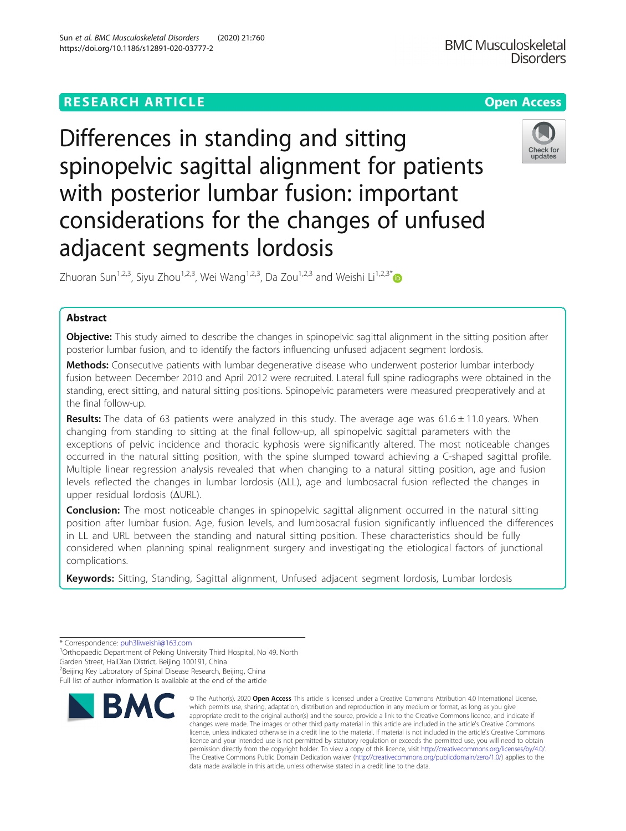# **RESEARCH ARTICLE Example 2014 12:30 The Contract of Contract ACCESS**

# Differences in standing and sitting spinopelvic sagittal alignment for patients with posterior lumbar fusion: important considerations for the changes of unfused adjacent segments lordosis

Zhuoran Sun<sup>1,2,3</sup>, Siyu Zhou<sup>1,2,3</sup>, Wei Wang<sup>1,2,3</sup>, Da Zou<sup>1,2,3</sup> and Weishi Li<sup>1,2,3\*</sup>

# Abstract

Objective: This study aimed to describe the changes in spinopelvic sagittal alignment in the sitting position after posterior lumbar fusion, and to identify the factors influencing unfused adjacent segment lordosis.

Methods: Consecutive patients with lumbar degenerative disease who underwent posterior lumbar interbody fusion between December 2010 and April 2012 were recruited. Lateral full spine radiographs were obtained in the standing, erect sitting, and natural sitting positions. Spinopelvic parameters were measured preoperatively and at the final follow-up.

Results: The data of 63 patients were analyzed in this study. The average age was  $61.6 \pm 11.0$  years. When changing from standing to sitting at the final follow-up, all spinopelvic sagittal parameters with the exceptions of pelvic incidence and thoracic kyphosis were significantly altered. The most noticeable changes occurred in the natural sitting position, with the spine slumped toward achieving a C-shaped sagittal profile. Multiple linear regression analysis revealed that when changing to a natural sitting position, age and fusion levels reflected the changes in lumbar lordosis (ΔLL), age and lumbosacral fusion reflected the changes in upper residual lordosis (ΔURL).

**Conclusion:** The most noticeable changes in spinopelvic sagittal alignment occurred in the natural sitting position after lumbar fusion. Age, fusion levels, and lumbosacral fusion significantly influenced the differences in LL and URL between the standing and natural sitting position. These characteristics should be fully considered when planning spinal realignment surgery and investigating the etiological factors of junctional complications.

Keywords: Sitting, Standing, Sagittal alignment, Unfused adjacent segment lordosis, Lumbar lordosis

Garden Street, HaiDian District, Beijing 100191, China

<sup>2</sup>Beijing Key Laboratory of Spinal Disease Research, Beijing, China Full list of author information is available at the end of the article



<sup>©</sup> The Author(s), 2020 **Open Access** This article is licensed under a Creative Commons Attribution 4.0 International License, which permits use, sharing, adaptation, distribution and reproduction in any medium or format, as long as you give appropriate credit to the original author(s) and the source, provide a link to the Creative Commons licence, and indicate if changes were made. The images or other third party material in this article are included in the article's Creative Commons licence, unless indicated otherwise in a credit line to the material. If material is not included in the article's Creative Commons licence and your intended use is not permitted by statutory regulation or exceeds the permitted use, you will need to obtain permission directly from the copyright holder. To view a copy of this licence, visit [http://creativecommons.org/licenses/by/4.0/.](http://creativecommons.org/licenses/by/4.0/) The Creative Commons Public Domain Dedication waiver [\(http://creativecommons.org/publicdomain/zero/1.0/](http://creativecommons.org/publicdomain/zero/1.0/)) applies to the data made available in this article, unless otherwise stated in a credit line to the data.



**BMC Musculoskeletal** 

**Disorders** 

<sup>\*</sup> Correspondence: [puh3liweishi@163.com](mailto:puh3liweishi@163.com) <sup>1</sup>

<sup>&</sup>lt;sup>1</sup>Orthopaedic Department of Peking University Third Hospital, No 49. North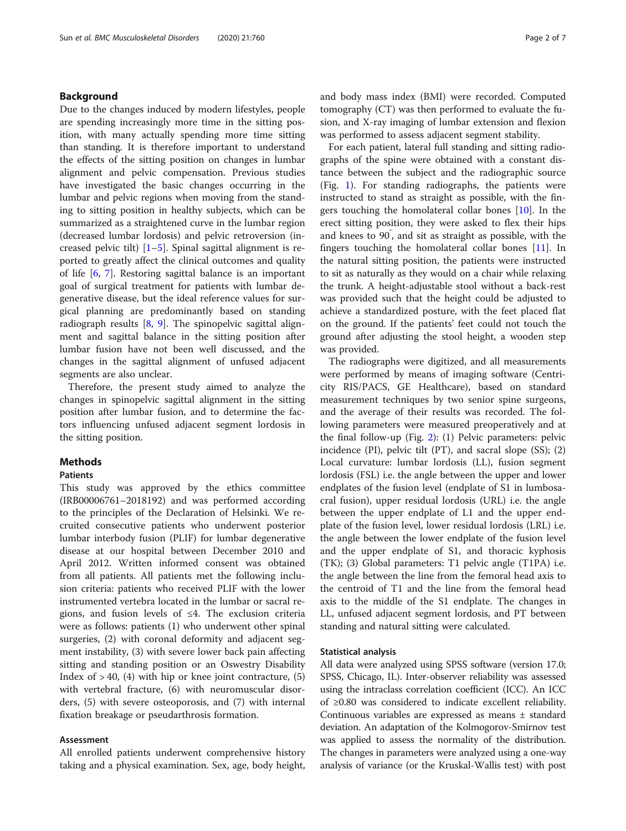# Background

Due to the changes induced by modern lifestyles, people are spending increasingly more time in the sitting position, with many actually spending more time sitting than standing. It is therefore important to understand the effects of the sitting position on changes in lumbar alignment and pelvic compensation. Previous studies have investigated the basic changes occurring in the lumbar and pelvic regions when moving from the standing to sitting position in healthy subjects, which can be summarized as a straightened curve in the lumbar region (decreased lumbar lordosis) and pelvic retroversion (increased pelvic tilt)  $[1-5]$  $[1-5]$  $[1-5]$  $[1-5]$ . Spinal sagittal alignment is reported to greatly affect the clinical outcomes and quality of life [[6](#page-6-0), [7\]](#page-6-0). Restoring sagittal balance is an important goal of surgical treatment for patients with lumbar degenerative disease, but the ideal reference values for surgical planning are predominantly based on standing radiograph results [[8,](#page-6-0) [9\]](#page-6-0). The spinopelvic sagittal alignment and sagittal balance in the sitting position after lumbar fusion have not been well discussed, and the changes in the sagittal alignment of unfused adjacent segments are also unclear.

Therefore, the present study aimed to analyze the changes in spinopelvic sagittal alignment in the sitting position after lumbar fusion, and to determine the factors influencing unfused adjacent segment lordosis in the sitting position.

#### Methods

# **Patients**

This study was approved by the ethics committee (IRB00006761–2018192) and was performed according to the principles of the Declaration of Helsinki. We recruited consecutive patients who underwent posterior lumbar interbody fusion (PLIF) for lumbar degenerative disease at our hospital between December 2010 and April 2012. Written informed consent was obtained from all patients. All patients met the following inclusion criteria: patients who received PLIF with the lower instrumented vertebra located in the lumbar or sacral regions, and fusion levels of ≤4. The exclusion criteria were as follows: patients (1) who underwent other spinal surgeries, (2) with coronal deformity and adjacent segment instability, (3) with severe lower back pain affecting sitting and standing position or an Oswestry Disability Index of  $>$  40, (4) with hip or knee joint contracture, (5) with vertebral fracture, (6) with neuromuscular disorders, (5) with severe osteoporosis, and (7) with internal fixation breakage or pseudarthrosis formation.

## Assessment

All enrolled patients underwent comprehensive history taking and a physical examination. Sex, age, body height, and body mass index (BMI) were recorded. Computed tomography (CT) was then performed to evaluate the fusion, and X-ray imaging of lumbar extension and flexion was performed to assess adjacent segment stability.

For each patient, lateral full standing and sitting radiographs of the spine were obtained with a constant distance between the subject and the radiographic source (Fig. [1](#page-2-0)). For standing radiographs, the patients were instructed to stand as straight as possible, with the fingers touching the homolateral collar bones [[10](#page-6-0)]. In the erect sitting position, they were asked to flex their hips and knees to 90° , and sit as straight as possible, with the fingers touching the homolateral collar bones [[11\]](#page-6-0). In the natural sitting position, the patients were instructed to sit as naturally as they would on a chair while relaxing the trunk. A height-adjustable stool without a back-rest was provided such that the height could be adjusted to achieve a standardized posture, with the feet placed flat on the ground. If the patients' feet could not touch the ground after adjusting the stool height, a wooden step was provided.

The radiographs were digitized, and all measurements were performed by means of imaging software (Centricity RIS/PACS, GE Healthcare), based on standard measurement techniques by two senior spine surgeons, and the average of their results was recorded. The following parameters were measured preoperatively and at the final follow-up (Fig. [2](#page-2-0)): (1) Pelvic parameters: pelvic incidence (PI), pelvic tilt (PT), and sacral slope (SS); (2) Local curvature: lumbar lordosis (LL), fusion segment lordosis (FSL) i.e. the angle between the upper and lower endplates of the fusion level (endplate of S1 in lumbosacral fusion), upper residual lordosis (URL) i.e. the angle between the upper endplate of L1 and the upper endplate of the fusion level, lower residual lordosis (LRL) i.e. the angle between the lower endplate of the fusion level and the upper endplate of S1, and thoracic kyphosis (TK); (3) Global parameters: T1 pelvic angle (T1PA) i.e. the angle between the line from the femoral head axis to the centroid of T1 and the line from the femoral head axis to the middle of the S1 endplate. The changes in LL, unfused adjacent segment lordosis, and PT between standing and natural sitting were calculated.

#### Statistical analysis

All data were analyzed using SPSS software (version 17.0; SPSS, Chicago, IL). Inter-observer reliability was assessed using the intraclass correlation coefficient (ICC). An ICC of ≥0.80 was considered to indicate excellent reliability. Continuous variables are expressed as means ± standard deviation. An adaptation of the Kolmogorov-Smirnov test was applied to assess the normality of the distribution. The changes in parameters were analyzed using a one-way analysis of variance (or the Kruskal-Wallis test) with post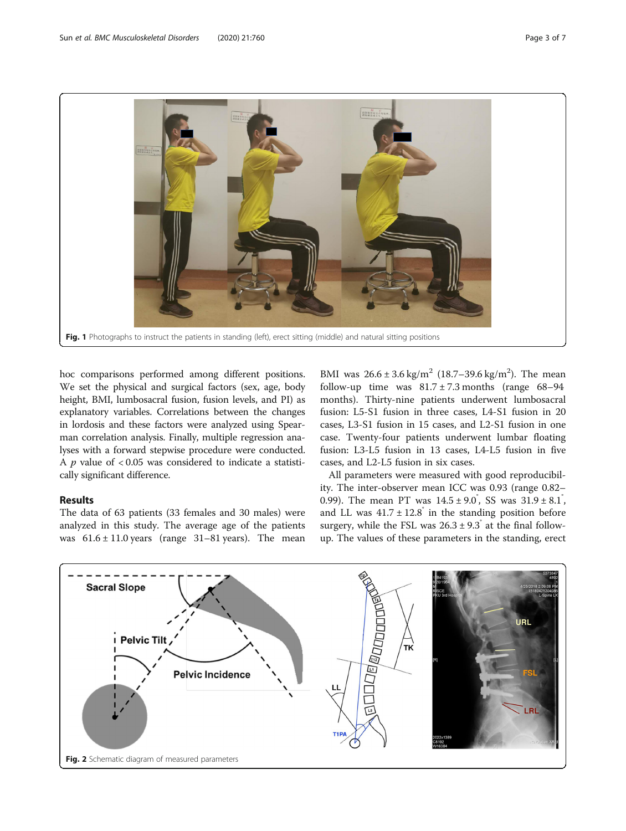<span id="page-2-0"></span>

hoc comparisons performed among different positions. We set the physical and surgical factors (sex, age, body height, BMI, lumbosacral fusion, fusion levels, and PI) as explanatory variables. Correlations between the changes in lordosis and these factors were analyzed using Spearman correlation analysis. Finally, multiple regression analyses with a forward stepwise procedure were conducted. A  $p$  value of  $<0.05$  was considered to indicate a statistically significant difference.

# Results

The data of 63 patients (33 females and 30 males) were analyzed in this study. The average age of the patients was  $61.6 \pm 11.0$  years (range  $31-81$  years). The mean

BMI was  $26.6 \pm 3.6$  kg/m<sup>2</sup> (18.7–39.6 kg/m<sup>2</sup>). The mean follow-up time was  $81.7 \pm 7.3$  months (range 68–94 months). Thirty-nine patients underwent lumbosacral fusion: L5-S1 fusion in three cases, L4-S1 fusion in 20 cases, L3-S1 fusion in 15 cases, and L2-S1 fusion in one case. Twenty-four patients underwent lumbar floating fusion: L3-L5 fusion in 13 cases, L4-L5 fusion in five cases, and L2-L5 fusion in six cases.

All parameters were measured with good reproducibility. The inter-observer mean ICC was 0.93 (range 0.82– 0.99). The mean PT was  $14.5 \pm 9.0^{\circ}$ , SS was  $31.9 \pm 8.1^{\circ}$ , and LL was  $41.7 \pm 12.8$  in the standing position before surgery, while the FSL was  $26.3 \pm 9.3$ <sup>\*</sup> at the final followup. The values of these parameters in the standing, erect

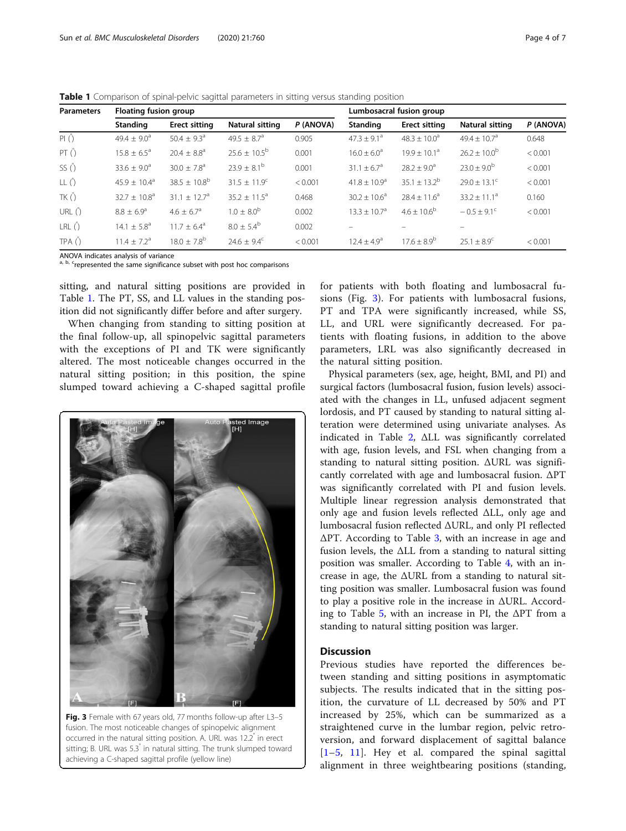Table 1 Comparison of spinal-pelvic sagittal parameters in sitting versus standing position

| <b>Parameters</b> | Floating fusion group |                              |                         | Lumbosacral fusion group |                              |                         |                              |           |
|-------------------|-----------------------|------------------------------|-------------------------|--------------------------|------------------------------|-------------------------|------------------------------|-----------|
|                   | Standing              | <b>Erect sitting</b>         | Natural sitting         | P (ANOVA)                | Standing                     | <b>Erect sitting</b>    | Natural sitting              | P (ANOVA) |
| PI(               | $49.4 + 9.0^{\circ}$  | 50.4 $\pm$ 9.3 <sup>a</sup>  | $49.5 + 8.7a$           | 0.905                    | $47.3 + 9.1a$                | $48.3 + 10.0^{\circ}$   | $49.4 \pm 10.7$ <sup>a</sup> | 0.648     |
| PT()              | $15.8 + 6.5^{\circ}$  | $20.4 + 8.8^a$               | $25.6 \pm 10.5^{\rm b}$ | 0.001                    | $16.0 + 6.0^a$               | $19.9 + 10.1a$          | $26.2 \pm 10.0^{\rm b}$      | < 0.001   |
| $SS($ )           | $33.6 + 9.0^a$        | $30.0 \pm 7.8$ <sup>a</sup>  | $23.9 + 8.1^{b}$        | 0.001                    | $31.1 \pm 6.7$ <sup>a</sup>  | $78.2 + 9.0^a$          | $23.0 \pm 9.0^{\circ}$       | < 0.001   |
| LL(               | $45.9 + 10.4^{\circ}$ | $38.5 \pm 10.8$ <sup>b</sup> | $31.5 + 11.9^{\circ}$   | < 0.001                  | $41.8 \pm 10.9$ <sup>a</sup> | $35.1 \pm 13.2^{\rm b}$ | $79.0 + 13.1^{\circ}$        | < 0.001   |
| TK()              | $32.7 + 10.8^a$       | $31.1 + 12.7a$               | $35.2 + 11.5^a$         | 0.468                    | $30.2 + 10.6^a$              | $28.4 + 11.6^a$         | $33.2 + 11.1a$               | 0.160     |
| URL $()$          | $8.8 + 6.9^{\circ}$   | $4.6 + 6.7a$                 | $1.0 \pm 8.0^{b}$       | 0.002                    | $13.3 + 10.7a$               | $4.6 \pm 10.6^{\circ}$  | $-0.5 + 9.1^{\circ}$         | < 0.001   |
| $LRL$ $()$        | $14.1 + 5.8^{\circ}$  | $11.7 + 6.4^{\circ}$         | $8.0 \pm 5.4^b$         | 0.002                    |                              |                         |                              |           |
| TPA()             | $11.4 + 7.2a$         | $18.0 \pm 7.8^{\rm b}$       | $74.6 + 9.4^{\circ}$    | < 0.001                  | $124 + 49^a$                 | $17.6 + 8.9^b$          | $25.1 + 8.9^{\circ}$         | < 0.001   |

ANOVA indicates analysis of variance

 $a<sub>b</sub>$ ,  $c<sub>r</sub>$  crepresented the same significance subset with post hoc comparisons

sitting, and natural sitting positions are provided in Table 1. The PT, SS, and LL values in the standing position did not significantly differ before and after surgery.

When changing from standing to sitting position at the final follow-up, all spinopelvic sagittal parameters with the exceptions of PI and TK were significantly altered. The most noticeable changes occurred in the natural sitting position; in this position, the spine slumped toward achieving a C-shaped sagittal profile



Fig. 3 Female with 67 years old, 77 months follow-up after L3-5 fusion. The most noticeable changes of spinopelvic alignment occurred in the natural sitting position. A. URL was 12.2° in erect sitting; B. URL was 5.3° in natural sitting. The trunk slumped toward achieving a C-shaped sagittal profile (yellow line)

for patients with both floating and lumbosacral fusions (Fig. 3). For patients with lumbosacral fusions, PT and TPA were significantly increased, while SS, LL, and URL were significantly decreased. For patients with floating fusions, in addition to the above parameters, LRL was also significantly decreased in the natural sitting position.

Physical parameters (sex, age, height, BMI, and PI) and surgical factors (lumbosacral fusion, fusion levels) associated with the changes in LL, unfused adjacent segment lordosis, and PT caused by standing to natural sitting alteration were determined using univariate analyses. As indicated in Table [2](#page-4-0), ΔLL was significantly correlated with age, fusion levels, and FSL when changing from a standing to natural sitting position. ΔURL was significantly correlated with age and lumbosacral fusion. ΔPT was significantly correlated with PI and fusion levels. Multiple linear regression analysis demonstrated that only age and fusion levels reflected ΔLL, only age and lumbosacral fusion reflected ΔURL, and only PI reflected ΔPT. According to Table [3](#page-4-0), with an increase in age and fusion levels, the ΔLL from a standing to natural sitting position was smaller. According to Table [4,](#page-5-0) with an increase in age, the ΔURL from a standing to natural sitting position was smaller. Lumbosacral fusion was found to play a positive role in the increase in ΔURL. Accord-ing to Table [5](#page-5-0), with an increase in PI, the  $\Delta PT$  from a standing to natural sitting position was larger.

# **Discussion**

Previous studies have reported the differences between standing and sitting positions in asymptomatic subjects. The results indicated that in the sitting position, the curvature of LL decreased by 50% and PT increased by 25%, which can be summarized as a straightened curve in the lumbar region, pelvic retroversion, and forward displacement of sagittal balance [[1](#page-5-0)–[5,](#page-6-0) [11](#page-6-0)]. Hey et al. compared the spinal sagittal alignment in three weightbearing positions (standing,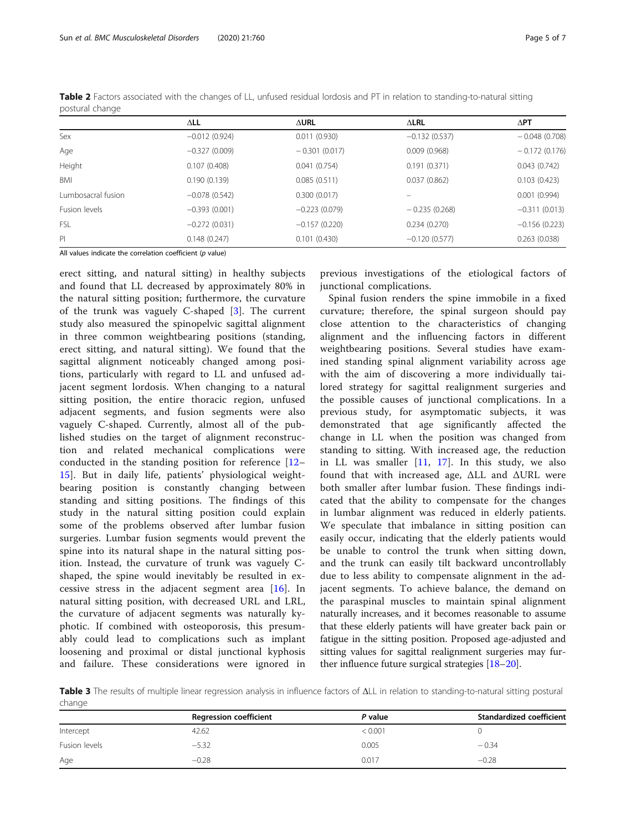|                    | $\Delta L$      | $\triangle$ url | $\triangle$ LRL | $\Delta$ PT     |
|--------------------|-----------------|-----------------|-----------------|-----------------|
| Sex                | $-0.012(0.924)$ | 0.011(0.930)    | $-0.132(0.537)$ | $-0.048(0.708)$ |
| Age                | $-0.327(0.009)$ | $-0.301(0.017)$ | 0.009(0.968)    | $-0.172(0.176)$ |
| Height             | 0.107(0.408)    | 0.041(0.754)    | 0.191(0.371)    | 0.043(0.742)    |
| BMI                | 0.190(0.139)    | 0.085(0.511)    | 0.037(0.862)    | 0.103(0.423)    |
| Lumbosacral fusion | $-0.078(0.542)$ | 0.300(0.017)    |                 | 0.001(0.994)    |
| Fusion levels      | $-0.393(0.001)$ | $-0.223(0.079)$ | $-0.235(0.268)$ | $-0.311(0.013)$ |
| FSL                | $-0.272(0.031)$ | $-0.157(0.220)$ | 0.234(0.270)    | $-0.156(0.223)$ |
| P                  | 0.148(0.247)    | 0.101(0.430)    | $-0.120(0.577)$ | 0.263(0.038)    |

<span id="page-4-0"></span>Table 2 Factors associated with the changes of LL, unfused residual lordosis and PT in relation to standing-to-natural sitting postural change

All values indicate the correlation coefficient ( $p$  value)

erect sitting, and natural sitting) in healthy subjects and found that LL decreased by approximately 80% in the natural sitting position; furthermore, the curvature of the trunk was vaguely C-shaped [\[3](#page-6-0)]. The current study also measured the spinopelvic sagittal alignment in three common weightbearing positions (standing, erect sitting, and natural sitting). We found that the sagittal alignment noticeably changed among positions, particularly with regard to LL and unfused adjacent segment lordosis. When changing to a natural sitting position, the entire thoracic region, unfused adjacent segments, and fusion segments were also vaguely C-shaped. Currently, almost all of the published studies on the target of alignment reconstruction and related mechanical complications were conducted in the standing position for reference [[12](#page-6-0)– [15\]](#page-6-0). But in daily life, patients' physiological weightbearing position is constantly changing between standing and sitting positions. The findings of this study in the natural sitting position could explain some of the problems observed after lumbar fusion surgeries. Lumbar fusion segments would prevent the spine into its natural shape in the natural sitting position. Instead, the curvature of trunk was vaguely Cshaped, the spine would inevitably be resulted in excessive stress in the adjacent segment area [\[16](#page-6-0)]. In natural sitting position, with decreased URL and LRL, the curvature of adjacent segments was naturally kyphotic. If combined with osteoporosis, this presumably could lead to complications such as implant loosening and proximal or distal junctional kyphosis and failure. These considerations were ignored in

previous investigations of the etiological factors of junctional complications.

Spinal fusion renders the spine immobile in a fixed curvature; therefore, the spinal surgeon should pay close attention to the characteristics of changing alignment and the influencing factors in different weightbearing positions. Several studies have examined standing spinal alignment variability across age with the aim of discovering a more individually tailored strategy for sagittal realignment surgeries and the possible causes of junctional complications. In a previous study, for asymptomatic subjects, it was demonstrated that age significantly affected the change in LL when the position was changed from standing to sitting. With increased age, the reduction in LL was smaller  $[11, 17]$  $[11, 17]$  $[11, 17]$  $[11, 17]$ . In this study, we also found that with increased age, ΔLL and ΔURL were both smaller after lumbar fusion. These findings indicated that the ability to compensate for the changes in lumbar alignment was reduced in elderly patients. We speculate that imbalance in sitting position can easily occur, indicating that the elderly patients would be unable to control the trunk when sitting down, and the trunk can easily tilt backward uncontrollably due to less ability to compensate alignment in the adjacent segments. To achieve balance, the demand on the paraspinal muscles to maintain spinal alignment naturally increases, and it becomes reasonable to assume that these elderly patients will have greater back pain or fatigue in the sitting position. Proposed age-adjusted and sitting values for sagittal realignment surgeries may further influence future surgical strategies [[18](#page-6-0)–[20\]](#page-6-0).

Table 3 The results of multiple linear regression analysis in influence factors of ΔLL in relation to standing-to-natural sitting postural change

|               | <b>Regression coefficient</b> | P value | <b>Standardized coefficient</b> |
|---------------|-------------------------------|---------|---------------------------------|
| Intercept     | 42.62                         | < 0.001 |                                 |
| Fusion levels | $-5.32$                       | 0.005   | $-0.34$                         |
| Age           | $-0.28$                       | 0.017   | $-0.28$                         |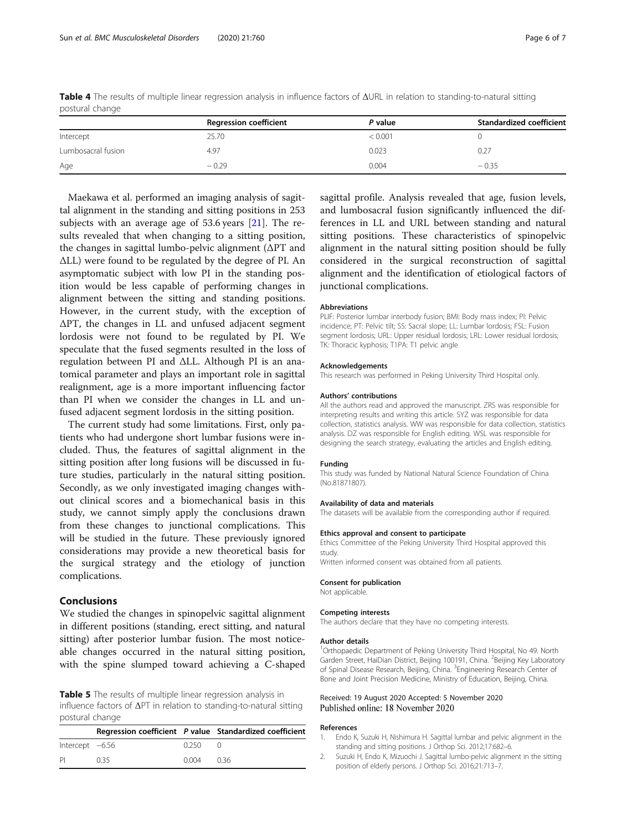postural change Regression coefficient **P** value P value Standardized coefficient Intercept 25.70 C Lumbosacral fusion 4.97 0.023 0.27

<span id="page-5-0"></span>Table 4 The results of multiple linear regression analysis in influence factors of ΔURL in relation to standing-to-natural sitting

Age − 0.29 − 0.29 0.004 − 0.35

Maekawa et al. performed an imaging analysis of sagittal alignment in the standing and sitting positions in 253 subjects with an average age of 53.6 years [\[21](#page-6-0)]. The results revealed that when changing to a sitting position, the changes in sagittal lumbo-pelvic alignment (ΔPT and ΔLL) were found to be regulated by the degree of PI. An asymptomatic subject with low PI in the standing position would be less capable of performing changes in alignment between the sitting and standing positions. However, in the current study, with the exception of ΔPT, the changes in LL and unfused adjacent segment lordosis were not found to be regulated by PI. We speculate that the fused segments resulted in the loss of regulation between PI and ΔLL. Although PI is an anatomical parameter and plays an important role in sagittal realignment, age is a more important influencing factor than PI when we consider the changes in LL and unfused adjacent segment lordosis in the sitting position.

The current study had some limitations. First, only patients who had undergone short lumbar fusions were included. Thus, the features of sagittal alignment in the sitting position after long fusions will be discussed in future studies, particularly in the natural sitting position. Secondly, as we only investigated imaging changes without clinical scores and a biomechanical basis in this study, we cannot simply apply the conclusions drawn from these changes to junctional complications. This will be studied in the future. These previously ignored considerations may provide a new theoretical basis for the surgical strategy and the etiology of junction complications.

# Conclusions

We studied the changes in spinopelvic sagittal alignment in different positions (standing, erect sitting, and natural sitting) after posterior lumbar fusion. The most noticeable changes occurred in the natural sitting position, with the spine slumped toward achieving a C-shaped

Table 5 The results of multiple linear regression analysis in influence factors of ΔPT in relation to standing-to-natural sitting postural change

|                   |     |       | Regression coefficient P value Standardized coefficient |
|-------------------|-----|-------|---------------------------------------------------------|
| Intercept $-6.56$ |     | 0.250 |                                                         |
| PI                | 035 | 0.004 | 036                                                     |

sagittal profile. Analysis revealed that age, fusion levels, and lumbosacral fusion significantly influenced the differences in LL and URL between standing and natural sitting positions. These characteristics of spinopelvic alignment in the natural sitting position should be fully considered in the surgical reconstruction of sagittal alignment and the identification of etiological factors of junctional complications.

#### Abbreviations

PLIF: Posterior lumbar interbody fusion; BMI: Body mass index; PI: Pelvic incidence; PT: Pelvic tilt; SS: Sacral slope; LL: Lumbar lordosis; FSL: Fusion segment lordosis; URL: Upper residual lordosis; LRL: Lower residual lordosis; TK: Thoracic kyphosis; T1PA: T1 pelvic angle

#### Acknowledgements

This research was performed in Peking University Third Hospital only.

#### Authors' contributions

All the authors read and approved the manuscript. ZRS was responsible for interpreting results and writing this article. SYZ was responsible for data collection, statistics analysis. WW was responsible for data collection, statistics analysis. DZ was responsible for English editing. WSL was responsible for designing the search strategy, evaluating the articles and English editing.

#### Funding

This study was funded by National Natural Science Foundation of China (No.81871807).

#### Availability of data and materials

The datasets will be available from the corresponding author if required.

#### Ethics approval and consent to participate

Ethics Committee of the Peking University Third Hospital approved this study.

Written informed consent was obtained from all patients.

#### Consent for publication

Not applicable.

#### Competing interests

The authors declare that they have no competing interests.

#### Author details

<sup>1</sup>Orthopaedic Department of Peking University Third Hospital, No 49. North Garden Street, HaiDian District, Beijing 100191, China. <sup>2</sup>Beijing Key Laboratory of Spinal Disease Research, Beijing, China. <sup>3</sup>Engineering Research Center of Bone and Joint Precision Medicine, Ministry of Education, Beijing, China.

### Received: 19 August 2020 Accepted: 5 November 2020 Published online: 18 November 2020

#### References

- 1. Endo K, Suzuki H, Nishimura H. Sagittal lumbar and pelvic alignment in the standing and sitting positions. J Orthop Sci. 2012;17:682–6.
- Suzuki H, Endo K, Mizuochi J. Sagittal lumbo-pelvic alignment in the sitting position of elderly persons. J Orthop Sci. 2016;21:713–7.